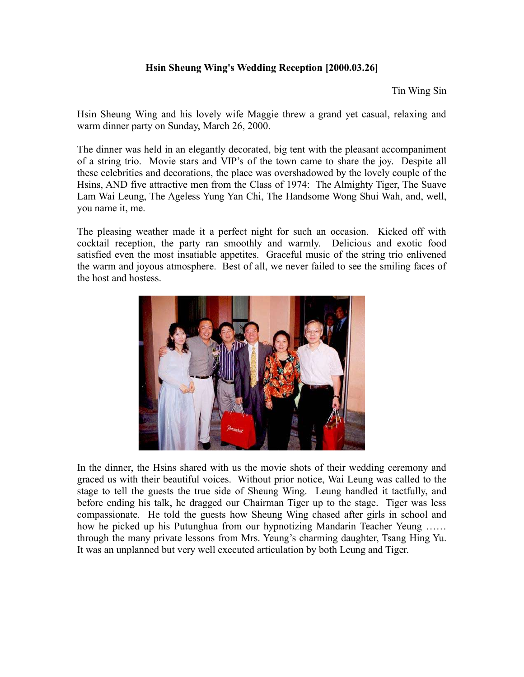## **Hsin Sheung Wing's Wedding Reception [2000.03.26]**

Tin Wing Sin

Hsin Sheung Wing and his lovely wife Maggie threw a grand yet casual, relaxing and warm dinner party on Sunday, March 26, 2000.

The dinner was held in an elegantly decorated, big tent with the pleasant accompaniment of a string trio. Movie stars and VIP's of the town came to share the joy. Despite all these celebrities and decorations, the place was overshadowed by the lovely couple of the Hsins, AND five attractive men from the Class of 1974: The Almighty Tiger, The Suave Lam Wai Leung, The Ageless Yung Yan Chi, The Handsome Wong Shui Wah, and, well, you name it, me.

The pleasing weather made it a perfect night for such an occasion. Kicked off with cocktail reception, the party ran smoothly and warmly. Delicious and exotic food satisfied even the most insatiable appetites. Graceful music of the string trio enlivened the warm and joyous atmosphere. Best of all, we never failed to see the smiling faces of the host and hostess.



In the dinner, the Hsins shared with us the movie shots of their wedding ceremony and graced us with their beautiful voices. Without prior notice, Wai Leung was called to the stage to tell the guests the true side of Sheung Wing. Leung handled it tactfully, and before ending his talk, he dragged our Chairman Tiger up to the stage. Tiger was less compassionate. He told the guests how Sheung Wing chased after girls in school and how he picked up his Putunghua from our hypnotizing Mandarin Teacher Yeung …… through the many private lessons from Mrs. Yeung's charming daughter, Tsang Hing Yu. It was an unplanned but very well executed articulation by both Leung and Tiger.